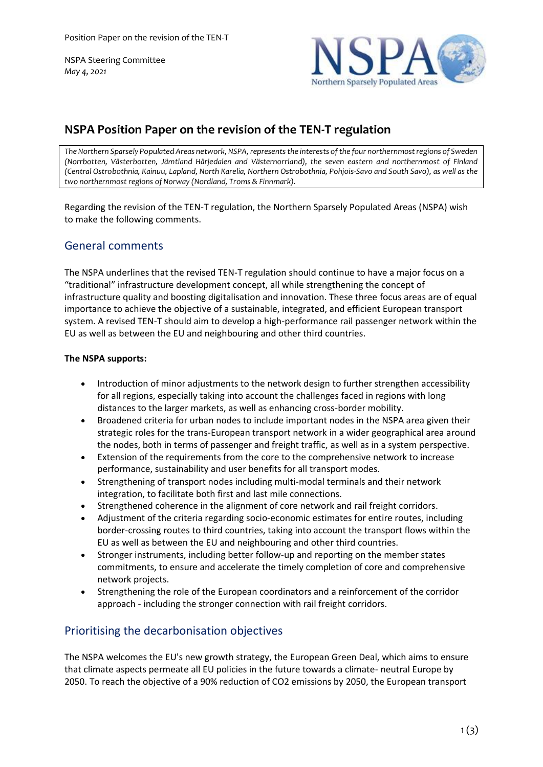NSPA Steering Committee *May 4, 2021*



# **NSPA Position Paper on the revision of the TEN-T regulation**

*The Northern Sparsely Populated Areas network, NSPA, represents the interests of the four northernmost regions of Sweden (Norrbotten, Västerbotten, Jämtland Härjedalen and Västernorrland), the seven eastern and northernmost of Finland (Central Ostrobothnia, Kainuu, Lapland, North Karelia, Northern Ostrobothnia, Pohjois-Savo and South Savo), as well as the two northernmost regions of Norway (Nordland, Troms & Finnmark).*

Regarding the revision of the TEN-T regulation, the Northern Sparsely Populated Areas (NSPA) wish to make the following comments.

## General comments

The NSPA underlines that the revised TEN-T regulation should continue to have a major focus on a "traditional" infrastructure development concept, all while strengthening the concept of infrastructure quality and boosting digitalisation and innovation. These three focus areas are of equal importance to achieve the objective of a sustainable, integrated, and efficient European transport system. A revised TEN-T should aim to develop a high-performance rail passenger network within the EU as well as between the EU and neighbouring and other third countries.

### **The NSPA supports:**

- Introduction of minor adjustments to the network design to further strengthen accessibility for all regions, especially taking into account the challenges faced in regions with long distances to the larger markets, as well as enhancing cross-border mobility.
- Broadened criteria for urban nodes to include important nodes in the NSPA area given their strategic roles for the trans-European transport network in a wider geographical area around the nodes, both in terms of passenger and freight traffic, as well as in a system perspective.
- Extension of the requirements from the core to the comprehensive network to increase performance, sustainability and user benefits for all transport modes.
- Strengthening of transport nodes including multi-modal terminals and their network integration, to facilitate both first and last mile connections.
- Strengthened coherence in the alignment of core network and rail freight corridors.
- Adjustment of the criteria regarding socio-economic estimates for entire routes, including border-crossing routes to third countries, taking into account the transport flows within the EU as well as between the EU and neighbouring and other third countries.
- Stronger instruments, including better follow-up and reporting on the member states commitments, to ensure and accelerate the timely completion of core and comprehensive network projects.
- Strengthening the role of the European coordinators and a reinforcement of the corridor approach - including the stronger connection with rail freight corridors.

## Prioritising the decarbonisation objectives

The NSPA welcomes the EU's new growth strategy, the European Green Deal, which aims to ensure that climate aspects permeate all EU policies in the future towards a climate- neutral Europe by 2050. To reach the objective of a 90% reduction of CO2 emissions by 2050, the European transport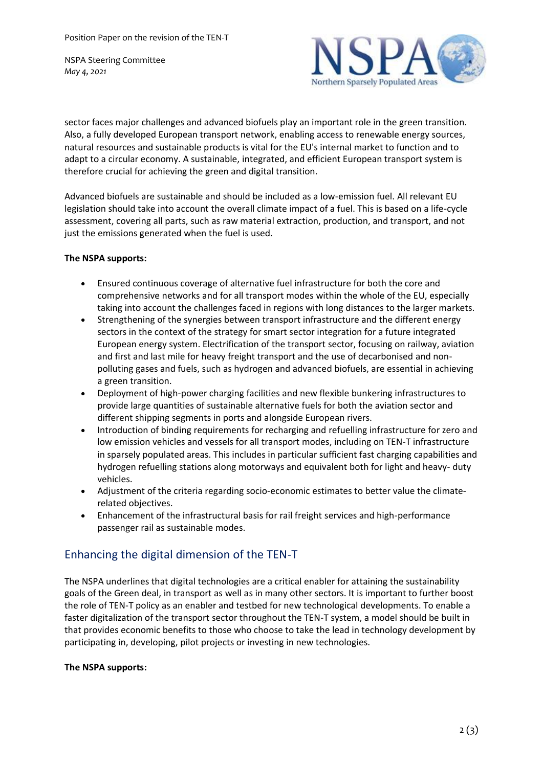NSPA Steering Committee *May 4, 2021*



sector faces major challenges and advanced biofuels play an important role in the green transition. Also, a fully developed European transport network, enabling access to renewable energy sources, natural resources and sustainable products is vital for the EU's internal market to function and to adapt to a circular economy. A sustainable, integrated, and efficient European transport system is therefore crucial for achieving the green and digital transition.

Advanced biofuels are sustainable and should be included as a low-emission fuel. All relevant EU legislation should take into account the overall climate impact of a fuel. This is based on a life-cycle assessment, covering all parts, such as raw material extraction, production, and transport, and not just the emissions generated when the fuel is used.

#### **The NSPA supports:**

- Ensured continuous coverage of alternative fuel infrastructure for both the core and comprehensive networks and for all transport modes within the whole of the EU, especially taking into account the challenges faced in regions with long distances to the larger markets.
- Strengthening of the synergies between transport infrastructure and the different energy sectors in the context of the strategy for smart sector integration for a future integrated European energy system. Electrification of the transport sector, focusing on railway, aviation and first and last mile for heavy freight transport and the use of decarbonised and nonpolluting gases and fuels, such as hydrogen and advanced biofuels, are essential in achieving a green transition.
- Deployment of high-power charging facilities and new flexible bunkering infrastructures to provide large quantities of sustainable alternative fuels for both the aviation sector and different shipping segments in ports and alongside European rivers.
- Introduction of binding requirements for recharging and refuelling infrastructure for zero and low emission vehicles and vessels for all transport modes, including on TEN-T infrastructure in sparsely populated areas. This includes in particular sufficient fast charging capabilities and hydrogen refuelling stations along motorways and equivalent both for light and heavy- duty vehicles.
- Adjustment of the criteria regarding socio-economic estimates to better value the climaterelated objectives.
- Enhancement of the infrastructural basis for rail freight services and high-performance passenger rail as sustainable modes.

# Enhancing the digital dimension of the TEN-T

The NSPA underlines that digital technologies are a critical enabler for attaining the sustainability goals of the Green deal, in transport as well as in many other sectors. It is important to further boost the role of TEN-T policy as an enabler and testbed for new technological developments. To enable a faster digitalization of the transport sector throughout the TEN-T system, a model should be built in that provides economic benefits to those who choose to take the lead in technology development by participating in, developing, pilot projects or investing in new technologies.

#### **The NSPA supports:**